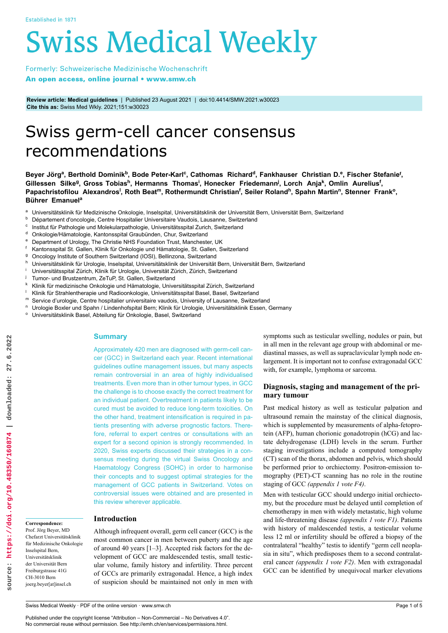# **Swiss Medical Weekly**

Formerly: Schweizerische Medizinische Wochenschrift An open access, online journal • www.smw.ch

**Review article: Medical guidelines** | Published 23 August 2021 | doi:10.4414/SMW.2021.w30023 **Cite this as:** Swiss Med Wkly. 2021;151:w30023

# Swiss germ-cell cancer consensus recommendations

Beyer Jörg<sup>a</sup>, Berthold Dominik<sup>b</sup>, Bode Peter-Karl<sup>c</sup>, Cathomas Richard<sup>d</sup>, Fankhauser Christian D.<sup>e</sup>, Fischer Stefanie<sup>f</sup>, Gillessen Silke<sup>g</sup>, Gross Tobias<sup>h</sup>, Hermanns Thomas<sup>i</sup>, Honecker Friedemann<sup>j</sup>, Lorch Anja<sup>k</sup>, Omlin Aurelius<sup>f</sup>, Papachristofilou Alexandros<sup>i</sup>, Roth Beat<sup>m</sup>, Rothermundt Christian<sup>f</sup>, Seiler Roland<sup>h</sup>, Spahn Martin<sup>n</sup>, Stenner Frank<sup>o</sup>, **Bührer Emanuel<sup>a</sup>**

- a Universitätsklinik für Medizinische Onkologie, Inselspital, Universitätsklinik der Universität Bern, Universität Bern, Switzerland
- <sup>b</sup> Département d'oncologie, Centre Hospitalier Universitaire Vaudois, Lausanne, Switzerland
- c Institut für Pathologie und Molekularpathologie, Universitätsspital Zurich, Switzerland
- <sup>d</sup> Onkologie/Hämatologie, Kantonsspital Graubünden, Chur, Switzerland<br>
<sup>e</sup> Department of Urelogy The Christie NHS Foundation Trust Maneheets
- <sup>e</sup> Department of Urology, The Christie NHS Foundation Trust, Manchester, UK
- <sup>f</sup> Kantonsspital St. Gallen, Klinik für Onkologie und Hämatologie, St. Gallen, Switzerland
- <sup>g</sup> Oncology Institute of Southern Switzerland (IOSI), Bellinzona, Switzerland
- h Universitätsklinik für Urologie, Inselspital, Universitätsklinik der Universität Bern, Universität Bern, Switzerland
- <sup>i</sup> Universitätsspital Zürich, Klinik für Urologie, Universität Zürich, Zürich, Switzerland
- Tumor- und Brustzentrum, ZeTuP, St. Gallen, Switzerland
- k Klinik für medizinische Onkologie und Hämatologie, Universitätsspital Zürich, Switzerland<br>| Klinik für Streblantberenie und Bedieenkelegie, Universitäteeritel Beeel, Beeel, Switzerland
- <sup>l</sup> Klinik für Strahlentherapie und Radioonkologie, Universitätsspital Basel, Basel, Switzerland
- Service d'urologie, Centre hospitalier universitaire vaudois, University of Lausanne, Switzerland
- <sup>n</sup> Urologie Boxler und Spahn / Lindenhofspital Bern; Klinik für Urologie, Universitätsklinik Essen, Germany
- Universitätsklinik Basel, Abteilung für Onkologie, Basel, Switzerland

# **Summary**

Approximately 420 men are diagnosed with germ-cell cancer (GCC) in Switzerland each year. Recent international guidelines outline management issues, but many aspects remain controversial in an area of highly individualised treatments. Even more than in other tumour types, in GCC the challenge is to choose exactly the correct treatment for an individual patient. Overtreatment in patients likely to be cured must be avoided to reduce long-term toxicities. On the other hand, treatment intensification is required in patients presenting with adverse prognostic factors. Therefore, referral to expert centres or consultations with an expert for a second opinion is strongly recommended. In 2020, Swiss experts discussed their strategies in a consensus meeting during the virtual Swiss Oncology and Haematology Congress (SOHC) in order to harmonise their concepts and to suggest optimal strategies for the management of GCC patients in Switzerland. Votes on controversial issues were obtained and are presented in this review wherever applicable.

**Introduction**

Although infrequent overall, germ cell cancer (GCC) is the most common cancer in men between puberty and the age of around 40 years [1–3]. Accepted risk factors for the development of GCC are maldescended testis, small testicular volume, family history and infertility. Three percent of GCCs are primarily extragonadal. Hence, a high index of suspicion should be maintained not only in men with symptoms such as testicular swelling, nodules or pain, but in all men in the relevant age group with abdominal or mediastinal masses, as well as supraclavicular lymph node enlargement. It is important not to confuse extragonadal GCC with, for example, lymphoma or sarcoma.

# **Diagnosis, staging and management of the primary tumour**

Past medical history as well as testicular palpation and ultrasound remain the mainstay of the clinical diagnosis, which is supplemented by measurements of alpha-fetoprotein (AFP), human chorionic gonadotropin (hCG) and lactate dehydrogenase (LDH) levels in the serum. Further staging investigations include a computed tomography (CT) scan of the thorax, abdomen and pelvis, which should be performed prior to orchiectomy. Positron-emission tomography (PET)-CT scanning has no role in the routine staging of GCC *(appendix 1 vote F4)*.

Men with testicular GCC should undergo initial orchiectomy, but the procedure must be delayed until completion of chemotherapy in men with widely metastatic, high volume and life-threatening disease *(appendix 1 vote F1)*. Patients with history of maldescended testis, a testicular volume less 12 ml or infertility should be offered a biopsy of the contralateral "healthy" testis to identify "germ cell neoplasia in situ", which predisposes them to a second contralateral cancer *(appendix 1 vote F2)*. Men with extragonadal GCC can be identified by unequivocal marker elevations

**Correspondence:** Prof. Jörg Beyer, MD Chefarzt Universitätsklinik für Medizinische Onkologie Inselspital Bern, Universitätsklinik der Universität Bern Freiburgstrasse 41G CH-3010 Bern joerg.beyer[at]insel.ch

Published under the copyright license "Attribution – Non-Commercial – No Derivatives 4.0". No commercial reuse without permission. See http://emh.ch/en/services/permissions.html.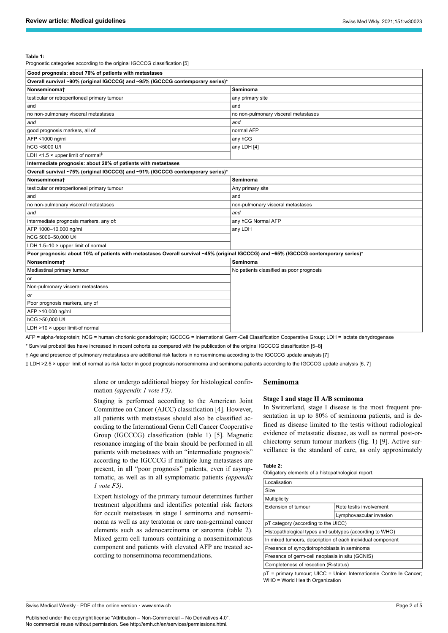#### **Table 1:**

Prognostic categories according to the original IGCCCG classification [5]

| Good prognosis: about 70% of patients with metastases                                                                                |                                          |  |  |  |
|--------------------------------------------------------------------------------------------------------------------------------------|------------------------------------------|--|--|--|
| Overall survival ~90% (original IGCCCG) and ~95% (IGCCCG contemporary series)*                                                       |                                          |  |  |  |
| Nonseminomat                                                                                                                         | Seminoma                                 |  |  |  |
| testicular or retroperitoneal primary tumour                                                                                         | any primary site                         |  |  |  |
| and                                                                                                                                  | and                                      |  |  |  |
| no non-pulmonary visceral metastases                                                                                                 | no non-pulmonary visceral metastases     |  |  |  |
| and                                                                                                                                  | and                                      |  |  |  |
| good prognosis markers, all of:                                                                                                      | normal AFP                               |  |  |  |
| AFP <1000 ng/ml                                                                                                                      | any hCG                                  |  |  |  |
| hCG <5000 U/I                                                                                                                        | any LDH [4]                              |  |  |  |
| LDH <1.5 $\times$ upper limit of normal <sup>‡</sup>                                                                                 |                                          |  |  |  |
| Intermediate prognosis: about 20% of patients with metastases                                                                        |                                          |  |  |  |
| Overall survival ~75% (original IGCCCG) and ~91% (IGCCCG contemporary series)*                                                       |                                          |  |  |  |
| <b>Nonseminomat</b>                                                                                                                  | Seminoma                                 |  |  |  |
| testicular or retroperitoneal primary tumour                                                                                         | Any primary site                         |  |  |  |
| and                                                                                                                                  | and                                      |  |  |  |
| no non-pulmonary visceral metastases                                                                                                 | non-pulmonary visceral metastases        |  |  |  |
| and                                                                                                                                  | and                                      |  |  |  |
| intermediate prognosis markers, any of:                                                                                              | any hCG Normal AFP                       |  |  |  |
| AFP 1000-10,000 ng/ml                                                                                                                | any LDH                                  |  |  |  |
| hCG 5000-50.000 U/I                                                                                                                  |                                          |  |  |  |
| LDH 1.5-10 × upper limit of normal                                                                                                   |                                          |  |  |  |
| Poor prognosis: about 10% of patients with metastases Overall survival ~45% (original IGCCCG) and ~65% (IGCCCG contemporary series)* |                                          |  |  |  |
| Nonseminomat                                                                                                                         | Seminoma                                 |  |  |  |
| Mediastinal primary tumour                                                                                                           | No patients classified as poor prognosis |  |  |  |
| or                                                                                                                                   |                                          |  |  |  |
| Non-pulmonary visceral metastases                                                                                                    |                                          |  |  |  |
| or                                                                                                                                   |                                          |  |  |  |
| Poor prognosis markers, any of                                                                                                       |                                          |  |  |  |
| AFP >10,000 ng/ml                                                                                                                    |                                          |  |  |  |
| hCG >50,000 U/I                                                                                                                      |                                          |  |  |  |
| LDH >10 × upper limit-of normal                                                                                                      |                                          |  |  |  |
| $-100000 - 1$                                                                                                                        |                                          |  |  |  |

AFP = alpha-fetoprotein; hCG = human chorionic gonadotropin; IGCCCG = International Germ-Cell Classification Cooperative Group; LDH = lactate dehydrogenase

\* Survival probabilities have increased in recent cohorts as compared with the publication of the original IGCCCG classification [5–8]

† Age and presence of pulmonary metastases are additional risk factors in nonseminoma according to the IGCCCG update analysis [7]

‡ LDH >2.5 × upper limit of normal as risk factor in good prognosis nonseminoma and seminoma patients according to the IGCCCG update analysis [6, 7]

alone or undergo additional biopsy for histological confirmation *(appendix 1 vote F3)*.

Staging is performed according to the American Joint Committee on Cancer (AJCC) classification [4]. However, all patients with metastases should also be classified according to the International Germ Cell Cancer Cooperative Group (IGCCCG) classification (table 1) [5]. Magnetic resonance imaging of the brain should be performed in all patients with metastases with an "intermediate prognosis" according to the IGCCCG if multiple lung metastases are present, in all "poor prognosis" patients, even if asymptomatic, as well as in all symptomatic patients *(appendix 1 vote F5)*.

Expert histology of the primary tumour determines further treatment algorithms and identifies potential risk factors for occult metastases in stage I seminoma and nonseminoma as well as any teratoma or rare non-germinal cancer elements such as adenocarcinoma or sarcoma (table 2). Mixed germ cell tumours containing a nonseminomatous component and patients with elevated AFP are treated according to nonseminoma recommendations.

## **Seminoma**

#### **Stage I and stage II A/B seminoma**

In Switzerland, stage I disease is the most frequent presentation in up to 80% of seminoma patients, and is defined as disease limited to the testis without radiological evidence of metastatic disease, as well as normal post-orchiectomy serum tumour markers (fig. 1) [9]. Active surveillance is the standard of care, as only approximately

#### **Table 2:**

Obligatory elements of a histopathological report.

| Localisation                                               |                         |  |
|------------------------------------------------------------|-------------------------|--|
| Size                                                       |                         |  |
| Multiplicity                                               |                         |  |
| Extension of tumour                                        | Rete testis involvement |  |
|                                                            | Lymphovascular invasion |  |
| pT category (according to the UICC)                        |                         |  |
| Histopathological types and subtypes (according to WHO)    |                         |  |
| In mixed tumours, description of each individual component |                         |  |
| Presence of syncytiotrophoblasts in seminoma               |                         |  |
| Presence of germ-cell neoplasia in situ (GCNIS)            |                         |  |
| Completeness of resection (R-status)                       |                         |  |
|                                                            |                         |  |

pT = primary tumour; UICC = Union Internationale Contre le Cancer; WHO = World Health Organization

Swiss Medical Weekly · PDF of the online version · www.smw.ch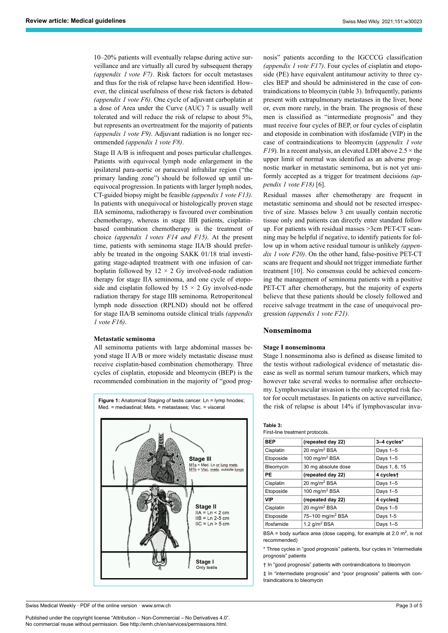10–20% patients will eventually relapse during active surveillance and are virtually all cured by subsequent therapy *(appendix 1 vote F7)*. Risk factors for occult metastases and thus for the risk of relapse have been identified. However, the clinical usefulness of these risk factors is debated *(appendix 1 vote F6)*. One cycle of adjuvant carboplatin at a dose of Area under the Curve (AUC) 7 is usually well tolerated and will reduce the risk of relapse to about 5%, but represents an overtreatment for the majority of patients *(appendix 1 vote F9)*. Adjuvant radiation is no longer recommended *(appendix 1 vote F8)*.

Stage II A/B is infrequent and poses particular challenges. Patients with equivocal lymph node enlargement in the ipsilateral para-aortic or paracaval infrahilar region ("the primary landing zone") should be followed up until unequivocal progression. In patients with larger lymph nodes, CT-guided biopsy might be feasible *(appendix 1 vote F13)*. In patients with unequivocal or histologically proven stage IIA seminoma, radiotherapy is favoured over combination chemotherapy, whereas in stage IIB patients, cisplatinbased combination chemotherapy is the treatment of choice *(appendix 1 votes F14 and F15)*. At the present time, patients with seminoma stage IIA/B should preferably be treated in the ongoing SAKK 01/18 trial investigating stage-adapted treatment with one infusion of carboplatin followed by  $12 \times 2$  Gy involved-node radiation therapy for stage IIA seminoma, and one cycle of etoposide and cisplatin followed by  $15 \times 2$  Gy involved-node radiation therapy for stage IIB seminoma. Retroperitoneal lymph node dissection (RPLND) should not be offered for stage IIA/B seminoma outside clinical trials *(appendix 1 vote F16)*.

#### **Metastatic seminoma**

All seminoma patients with large abdominal masses beyond stage II A/B or more widely metastatic disease must receive cisplatin-based combination chemotherapy. Three cycles of cisplatin, etoposide and bleomycin (BEP) is the recommended combination in the majority of "good prog-



**Figure 1:** Anatomical Staging of testis cancer. Ln = lymp hnodes; Med. = mediastinal; Mets. = metastases; Visc. = visceral

nosis" patients according to the IGCCCG classification *(appendix 1 vote F17)*. Four cycles of cisplatin and etoposide (PE) have equivalent antitumour activity to three cycles BEP and should be administered in the case of contraindications to bleomycin (table 3). Infrequently, patients present with extrapulmonary metastases in the liver, bone or, even more rarely, in the brain. The prognosis of these men is classified as "intermediate prognosis" and they must receive four cycles of BEP, or four cycles of cisplatin and etoposide in combination with ifosfamide (VIP) in the case of contraindications to bleomycin (*appendix 1 vote F19*). In a recent analysis, an elevated LDH above  $2.5 \times$  the upper limit of normal was identified as an adverse prognostic marker in metastatic seminoma, but is not yet uniformly accepted as a trigger for treatment decisions *(appendix 1 vote F18)* [6].

Residual masses after chemotherapy are frequent in metastatic seminoma and should not be resected irrespective of size. Masses below 3 cm usually contain necrotic tissue only and patients can directly enter standard follow up. For patients with residual masses >3cm PET-CT scanning may be helpful if negative, to identify patients for follow up in whom active residual tumour is unlikely *(appendix 1 vote F20)*. On the other hand, false-positive PET-CT scans are frequent and should not trigger immediate further treatment [10]. No consensus could be achieved concerning the management of seminoma patients with a positive PET-CT after chemotherapy, but the majority of experts believe that these patients should be closely followed and receive salvage treatment in the case of unequivocal progression *(appendix 1 vote F21)*.

#### **Nonseminoma**

#### **Stage I nonseminoma**

Stage I nonseminoma also is defined as disease limited to the testis without radiological evidence of metastatic disease as well as normal serum tumour markers, which may however take several weeks to normalise after orchiectomy. Lymphovascular invasion is the only accepted risk factor for occult metastases. In patients on active surveillance, the risk of relapse is about 14% if lymphovascular inva-

| <b>REP</b>                      | <i>I</i> renested day 22 |
|---------------------------------|--------------------------|
| First-line treatment protocols. |                          |
| Table 3:                        |                          |

| (repeated day 22)            | 3-4 cycles*   |
|------------------------------|---------------|
| 20 mg/m <sup>2</sup> BSA     | Days $1-5$    |
| 100 mg/m <sup>2</sup> BSA    | Days $1-5$    |
| 30 mg absolute dose          | Days 1, 8, 15 |
| (repeated day 22)            | 4 cyclest     |
| 20 mg/m <sup>2</sup> BSA     | Days $1-5$    |
| 100 mg/m <sup>2</sup> BSA    | Days $1-5$    |
| (repeated day 22)            | 4 cyclest     |
| 20 mg/m <sup>2</sup> BSA     | Days $1-5$    |
| 75-100 mg/m <sup>2</sup> BSA | Days 1-5      |
| 1.2 $q/m^2$ BSA              | Days $1-5$    |
|                              |               |

BSA = body surface area (dose capping, for example at 2.0  $m^2$ , is not recommended)

\* Three cycles in "good prognosis" patients, four cycles in "intermediate prognosis" patients

† In "good prognosis" patients with contraindications to bleomycin

‡ In "intermediate prognosis" and "poor prognosis" patients with contraindications to bleomycin

Swiss Medical Weekly · PDF of the online version · www.smw.ch

Published under the copyright license "Attribution – Non-Commercial – No Derivatives 4.0". No commercial reuse without permission. See http://emh.ch/en/services/permissions.html.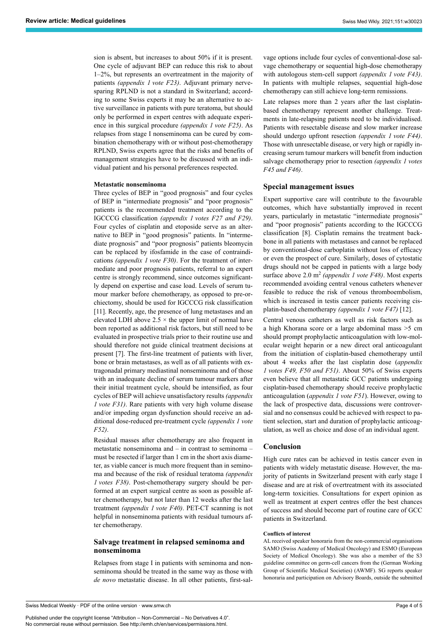sion is absent, but increases to about 50% if it is present. One cycle of adjuvant BEP can reduce this risk to about 1–2%, but represents an overtreatment in the majority of patients *(appendix 1 vote F23)*. Adjuvant primary nervesparing RPLND is not a standard in Switzerland; according to some Swiss experts it may be an alternative to active surveillance in patients with pure teratoma, but should only be performed in expert centres with adequate experience in this surgical procedure *(appendix 1 vote F25)*. As relapses from stage I nonseminoma can be cured by combination chemotherapy with or without post-chemotherapy RPLND, Swiss experts agree that the risks and benefits of management strategies have to be discussed with an individual patient and his personal preferences respected.

#### **Metastatic nonseminoma**

Three cycles of BEP in "good prognosis" and four cycles of BEP in "intermediate prognosis" and "poor prognosis" patients is the recommended treatment according to the IGCCCG classification *(appendix 1 votes F27 and F29)*. Four cycles of cisplatin and etoposide serve as an alternative to BEP in "good prognosis" patients. In "intermediate prognosis" and "poor prognosis" patients bleomycin can be replaced by ifosfamide in the case of contraindications *(appendix 1 vote F30)*. For the treatment of intermediate and poor prognosis patients, referral to an expert centre is strongly recommend, since outcomes significantly depend on expertise and case load. Levels of serum tumour marker before chemotherapy, as opposed to pre-orchiectomy, should be used for IGCCCG risk classification [11]. Recently, age, the presence of lung metastases and an elevated LDH above  $2.5 \times$  the upper limit of normal have been reported as additional risk factors, but still need to be evaluated in prospective trials prior to their routine use and should therefore not guide clinical treatment decisions at present [7]. The first-line treatment of patients with liver, bone or brain metastases, as well as of all patients with extragonadal primary mediastinal nonseminoma and of those with an inadequate decline of serum tumour markers after their initial treatment cycle, should be intensified, as four cycles of BEP will achieve unsatisfactory results *(appendix 1 vote F31)*. Rare patients with very high volume disease and/or impeding organ dysfunction should receive an additional dose-reduced pre-treatment cycle *(appendix 1 vote F52)*.

Residual masses after chemotherapy are also frequent in metastatic nonseminoma and – in contrast to seminoma – must be resected if larger than 1 cm in the short axis diameter, as viable cancer is much more frequent than in seminoma and because of the risk of residual teratoma *(appendix 1 votes F38)*. Post-chemotherapy surgery should be performed at an expert surgical centre as soon as possible after chemotherapy, but not later than 12 weeks after the last treatment *(appendix 1 vote F40)*. PET-CT scanning is not helpful in nonseminoma patients with residual tumours after chemotherapy.

## **Salvage treatment in relapsed seminoma and nonseminoma**

Relapses from stage I in patients with seminoma and nonseminoma should be treated in the same way as those with *de novo* metastatic disease. In all other patients, first-salvage options include four cycles of conventional-dose salvage chemotherapy or sequential high-dose chemotherapy with autologous stem-cell support *(appendix 1 vote F43)*. In patients with multiple relapses, sequential high-dose chemotherapy can still achieve long-term remissions.

Late relapses more than 2 years after the last cisplatinbased chemotherapy represent another challenge. Treatments in late-relapsing patients need to be individualised. Patients with resectable disease and slow marker increase should undergo upfront resection *(appendix 1 vote F44)*. Those with unresectable disease, or very high or rapidly increasing serum tumour markers will benefit from induction salvage chemotherapy prior to resection *(appendix 1 votes F45 and F46)*.

#### **Special management issues**

Expert supportive care will contribute to the favourable outcomes, which have substantially improved in recent years, particularly in metastatic "intermediate prognosis" and "poor prognosis" patients according to the IGCCCG classification [8]. Cisplatin remains the treatment backbone in all patients with metastases and cannot be replaced by conventional-dose carboplatin without loss of efficacy or even the prospect of cure. Similarly, doses of cytostatic drugs should not be capped in patients with a large body surface above 2.0 m<sup>2</sup> (appendix 1 vote F48). Most experts recommended avoiding central venous catheters whenever feasible to reduce the risk of venous thromboembolism, which is increased in testis cancer patients receiving cisplatin-based chemotherapy *(appendix 1 vote F47)* [12].

Central venous catheters as well as risk factors such as a high Khorana score or a large abdominal mass >5 cm should prompt prophylactic anticoagulation with low-molecular weight heparin or a new direct oral anticoagulant from the initiation of cisplatin-based chemotherapy until about 4 weeks after the last cisplatin dose (*appendix 1 votes F49, F50 and F51)*. About 50% of Swiss experts even believe that all metastatic GCC patients undergoing cisplatin-based chemotherapy should receive prophylactic anticoagulation (*appendix 1 vote F51*). However, owing to the lack of prospective data, discussions were controversial and no consensus could be achieved with respect to patient selection, start and duration of prophylactic anticoagulation, as well as choice and dose of an individual agent.

# **Conclusion**

High cure rates can be achieved in testis cancer even in patients with widely metastatic disease. However, the majority of patients in Switzerland present with early stage I disease and are at risk of overtreatment with its associated long-term toxicities. Consultations for expert opinion as well as treatment at expert centres offer the best chances of success and should become part of routine care of GCC patients in Switzerland.

#### **Conflicts of interest**

AL received speaker honoraria from the non-commercial organisations SAMO (Swiss Academy of Medical Oncology) and ESMO (European Society of Medical Oncology). She was also a member of the S3 guideline committee on germ-cell cancers from the (German Working Group of Scientific Medical Societies) (AWMF). SG reports speaker honoraria and participation on Advisory Boards, outside the submitted

Published under the copyright license "Attribution – Non-Commercial – No Derivatives 4.0". No commercial reuse without permission. See http://emh.ch/en/services/permissions.html.